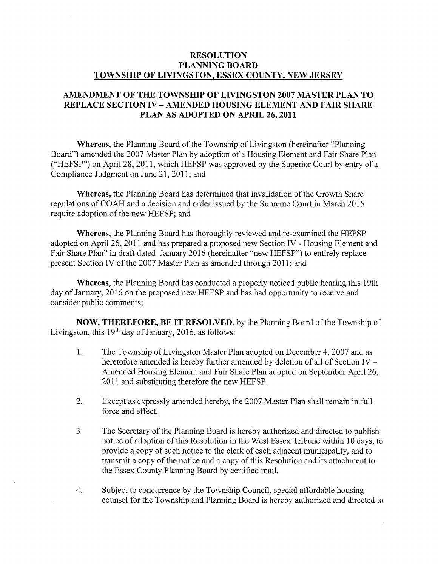## RESOLUTION PLANNING BOARD TOWNSHIP OF LIVINGSTON, ESSEX COUNTY, NEW JERSEY

## AMENDMENT OF THE TOWNSHIP OF LIVINGSTON 2007 MASTER PLAN TO REPLACE SECTION IV -AMENDED HOUSING ELEMENT AND FAIR SHARE PLAN AS ADOPTED ON APRIL 26, 2011

Whereas, the Planning Board of the Township of Livingston (hereinafter "Planning Board") amended the 2007 Master Plan by adoption of a Housing Element and Fair Share Plan ("HEFSP") on April 28, 2011, which HEFSP was approved by the Superior Court by entry of <sup>a</sup> Compliance Judgment on June 21, 2011; and

Whereas, the Planning Board has determined that invalidation of the Growth Share regulations of COAH and <sup>a</sup> decision and order issued by the Supreme Court in March 2015 require adoption of the new HEFSP; and

Whereas, the Planning Board has thoroughly reviewed and re-examined the HEFSP adopted on April 26, 2011 and has prepared a proposed new Section IV - Housing Element and Fair Share Plan" in draft dated January 2016 (hereinafter "new HEFSP") to entirely replace present Section IV of the 2007 Master Plan as amended through 2011; and

Whereas, the Planning Board has conducted a properly noticed public hearing this 19th day of January, 2016 on the proposed new HEFSP and has had opportunity to receive and consider public comments;

NOW, THEREFORE, BE IT RESOLVED, by the Planning Board of the Township of Livingston, this  $19<sup>th</sup>$  day of January, 2016, as follows:

- 1. The Township of Livingston Master Plan adopted on December 4, 2007 and as heretofore amended is hereby further amended by deletion of all of Section IV — Amended Housing Element and Fair Share Plan adopted on September April 26, 2011 and substituting therefore the new HEFSP.
- 2. Except as expressly amended hereby, the 2007 Master Plan shall remain in full force and effect.
- <sup>3</sup> The Secretary of the Planning Board is hereby authorized and directed to publish notice of adoption of this Resolution in the West Essex Tribune within <sup>10</sup> days, to provide a copy of such notice to the clerk of each adjacent municipality, and to transmit <sup>a</sup> copy of the notice and <sup>a</sup> copy of this Resolution and its attachment to the Essex County Planning Board by certified mail.
- 4. Subject to concurrence by the Township Council, special affordable housing counsel for the Township and Planning Board is hereby authorized and directed to